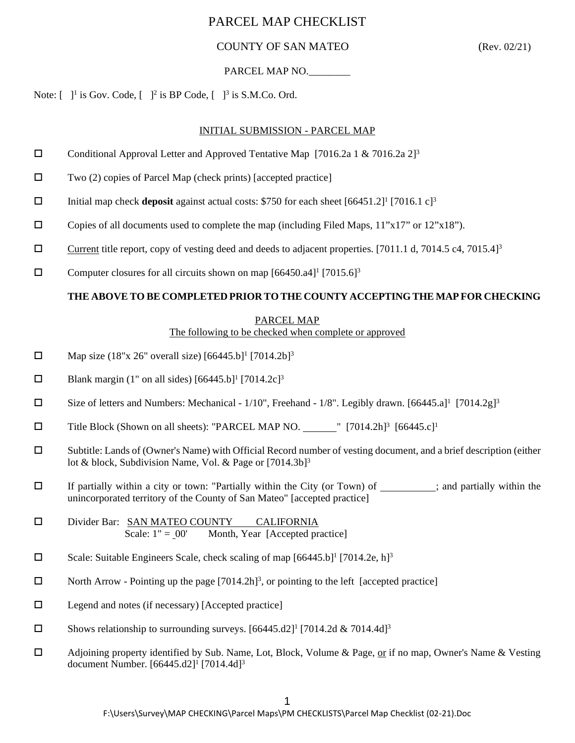### COUNTY OF SAN MATEO (Rev. 02/21)

#### PARCEL MAP NO.

Note:  $\begin{bmatrix} 1 & 1 \end{bmatrix}$  is Gov. Code,  $\begin{bmatrix} 1 & 1^2 \end{bmatrix}$  is BP Code,  $\begin{bmatrix} 1 & 1^3 \end{bmatrix}$  is S.M.Co. Ord.

#### INITIAL SUBMISSION - PARCEL MAP

- Conditional Approval Letter and Approved Tentative Map [7016.2a 1 & 7016.2a 2]<sup>3</sup>
- $\square$  Two (2) copies of Parcel Map (check prints) [accepted practice]
- Initial map check **deposit** against actual costs: \$750 for each sheet  $[66451.2]^1$   $[7016.1 \text{ c}]^3$
- $\square$  Copies of all documents used to complete the map (including Filed Maps, 11"x17" or 12"x18").
- Current title report, copy of vesting deed and deeds to adjacent properties. [7011.1 d, 7014.5 c4, 7015.4]<sup>3</sup>
- $\square$  Computer closures for all circuits shown on map [66450.a4]<sup>1</sup> [7015.6]<sup>3</sup>

#### **THE ABOVE TO BE COMPLETED PRIOR TO THE COUNTY ACCEPTING THE MAP FOR CHECKING**

#### PARCEL MAP

The following to be checked when complete or approved

- $\Box$  Map size (18"x 26" overall size) [66445.b]<sup>1</sup> [7014.2b]<sup>3</sup>
- $\Box$  Blank margin (1" on all sides) [66445.b]<sup>1</sup> [7014.2c]<sup>3</sup>
- $\square$  Size of letters and Numbers: Mechanical 1/10", Freehand 1/8". Legibly drawn. [66445.a]<sup>1</sup> [7014.2g]<sup>3</sup>
- $\square$  Title Block (Shown on all sheets): "PARCEL MAP NO.  $\square$ " [7014.2h]<sup>3</sup> [66445.c]<sup>1</sup>
- Subtitle: Lands of (Owner's Name) with Official Record number of vesting document, and a brief description (either lot & block, Subdivision Name, Vol. & Page or [7014.3b]<sup>3</sup>
- $\Box$  If partially within a city or town: "Partially within the City (or Town) of ; and partially within the unincorporated territory of the County of San Mateo" [accepted practice]
- Divider Bar: SAN MATEO COUNTY CALIFORNIA Scale:  $1" = 00'$  Month, Year [Accepted practice]
- Scale: Suitable Engineers Scale, check scaling of map  $[66445.b]^1$   $[7014.2e, h]^3$
- $\Box$  North Arrow Pointing up the page  $[7014.2h]^3$ , or pointing to the left [accepted practice]
- $\Box$  Legend and notes (if necessary) [Accepted practice]
- $\square$  Shows relationship to surrounding surveys. [66445.d2]<sup>1</sup> [7014.2d & 7014.4d]<sup>3</sup>
- Adjoining property identified by Sub. Name, Lot, Block, Volume & Page, or if no map, Owner's Name & Vesting document Number. [66445.d2]<sup>1</sup> [7014.4d]<sup>3</sup>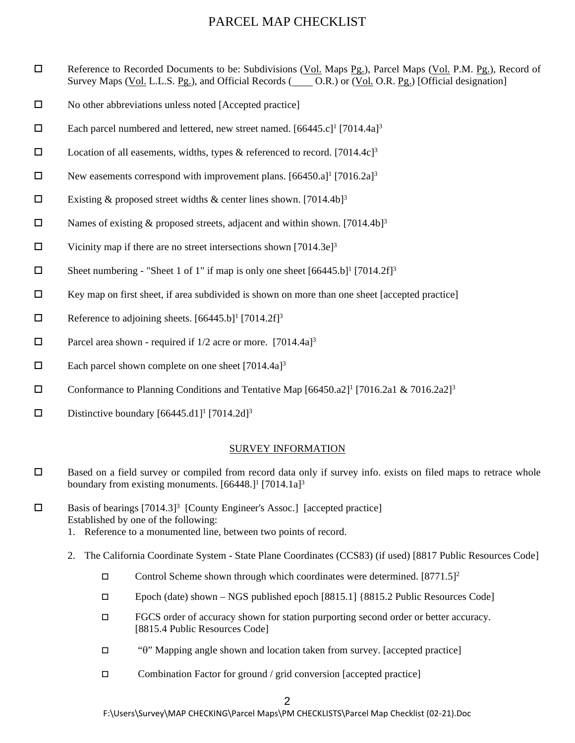- □ Reference to Recorded Documents to be: Subdivisions (Vol. Maps Pg.), Parcel Maps (Vol. P.M. Pg.), Record of Survey Maps (Vol. L.L.S. Pg.), and Official Records ( $O.R.$ ) or (Vol. O.R. Pg.) [Official designation]
- $\square$  No other abbreviations unless noted [Accepted practice]
- Each parcel numbered and lettered, new street named.  $[66445 \text{ c}]$ <sup>1</sup> [7014.4a]<sup>3</sup>
- D Location of all easements, widths, types & referenced to record. [7014.4c]<sup>3</sup>
- New easements correspond with improvement plans.  $[66450.a]^1$   $[7016.2a]^3$
- Existing & proposed street widths & center lines shown. [7014.4b]<sup>3</sup>
- $\square$  Names of existing & proposed streets, adjacent and within shown. [7014.4b]<sup>3</sup>
- $\Box$  Vicinity map if there are no street intersections shown [7014.3e]<sup>3</sup>
- $\Box$  Sheet numbering "Sheet 1 of 1" if map is only one sheet  $[66445.b]^1$  [7014.2f]<sup>3</sup>
- $\Box$  Key map on first sheet, if area subdivided is shown on more than one sheet [accepted practice]
- $\Box$  Reference to adjoining sheets. [66445.b]<sup>1</sup> [7014.2f]<sup>3</sup>
- $\Box$  Parcel area shown required if 1/2 acre or more. [7014.4a]<sup>3</sup>
- $\Box$  Each parcel shown complete on one sheet [7014.4a]<sup>3</sup>
- Conformance to Planning Conditions and Tentative Map  $[66450.2]^{17}$  [7016.2a1 & 7016.2a2]<sup>3</sup>
- Distinctive boundary  $[66445. d1]$ <sup>1</sup>  $[7014.2d]$ <sup>3</sup>

#### SURVEY INFORMATION

- $\square$  Based on a field survey or compiled from record data only if survey info. exists on filed maps to retrace whole boundary from existing monuments.  $[66448.]$ <sup>1</sup>  $[7014.1a]$ <sup>3</sup>
- $\square$  Basis of bearings [7014.3]<sup>3</sup> [County Engineer's Assoc.] [accepted practice] Established by one of the following:
	- 1. Reference to a monumented line, between two points of record.
	- 2. The California Coordinate System State Plane Coordinates (CCS83) (if used) [8817 Public Resources Code]
		- Control Scheme shown through which coordinates were determined.  $[8771.5]^2$
		- Epoch (date) shown NGS published epoch [8815.1] {8815.2 Public Resources Code]
		- FGCS order of accuracy shown for station purporting second order or better accuracy. [8815.4 Public Resources Code]
		- "θ" Mapping angle shown and location taken from survey. [accepted practice]
		- $\Box$  Combination Factor for ground / grid conversion [accepted practice]

F:\Users\Survey\MAP CHECKING\Parcel Maps\PM CHECKLISTS\Parcel Map Checklist (02-21).Doc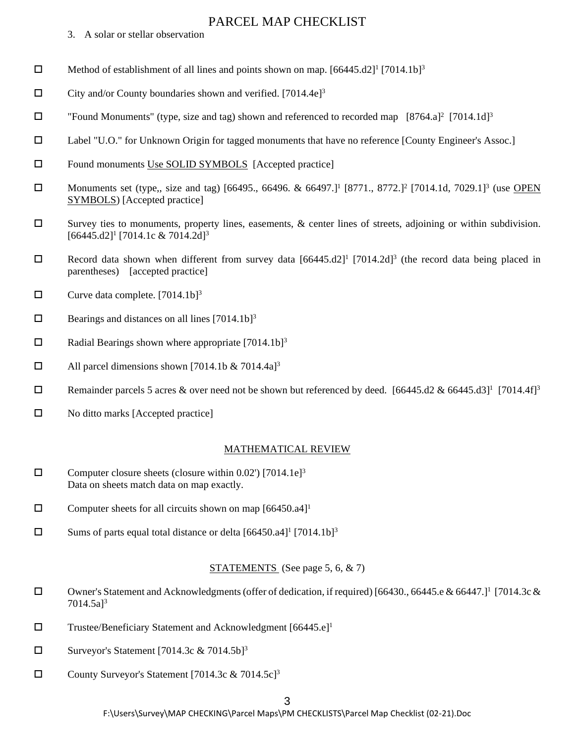- 3. A solar or stellar observation
- **D** Method of establishment of all lines and points shown on map.  $[66445. d2]^1$   $[7014. 1b]^3$
- $\Box$  City and/or County boundaries shown and verified. [7014.4e]<sup>3</sup>
- □ "Found Monuments" (type, size and tag) shown and referenced to recorded map [8764.a]<sup>2</sup> [7014.1d]<sup>3</sup>
- Label "U.O." for Unknown Origin for tagged monuments that have no reference [County Engineer's Assoc.]
- □ Found monuments Use SOLID SYMBOLS [Accepted practice]
- **ID** Monuments set (type,, size and tag) [66495., 66496. & 66497.]<sup>1</sup> [8771., 8772.]<sup>2</sup> [7014.1d, 7029.1]<sup>3</sup> (use OPEN SYMBOLS) [Accepted practice]
- $\square$  Survey ties to monuments, property lines, easements, & center lines of streets, adjoining or within subdivision. [66445.d2]<sup>1</sup> [7014.1c & 7014.2d]<sup>3</sup>
- Record data shown when different from survey data  $[66445.12]$ <sup>1</sup> [7014.2d]<sup>3</sup> (the record data being placed in parentheses) [accepted practice]
- $\Box$  Curve data complete. [7014.1b]<sup>3</sup>
- $\Box$  Bearings and distances on all lines [7014.1b]<sup>3</sup>
- $\Box$  Radial Bearings shown where appropriate [7014.1b]<sup>3</sup>
- $\Box$  All parcel dimensions shown [7014.1b & 7014.4a]<sup>3</sup>
- **Exercise 5** acres & over need not be shown but referenced by deed. [66445.d2 & 66445.d3]<sup>1</sup> [7014.4f]<sup>3</sup>
- $\Box$  No ditto marks [Accepted practice]

#### MATHEMATICAL REVIEW

- $\square$  Computer closure sheets (closure within 0.02') [7014.1e]<sup>3</sup> Data on sheets match data on map exactly.
- $\Box$  Computer sheets for all circuits shown on map [66450.a4]<sup>1</sup>
- $\square$  Sums of parts equal total distance or delta  $[66450.a4]$ <sup>1</sup> [7014.1b]<sup>3</sup>

#### STATEMENTS (See page 5, 6, & 7)

- □ Owner's Statement and Acknowledgments (offer of dedication, if required) [66430., 66445.e & 66447.]<sup>1</sup> [7014.3c & 7014.5a]3
- $\square$  Trustee/Beneficiary Statement and Acknowledgment [66445.e]<sup>1</sup>
- $\square$  Surveyor's Statement [7014.3c & 7014.5b]<sup>3</sup>
- County Surveyor's Statement [7014.3c  $& 7014.5c$ ]<sup>3</sup>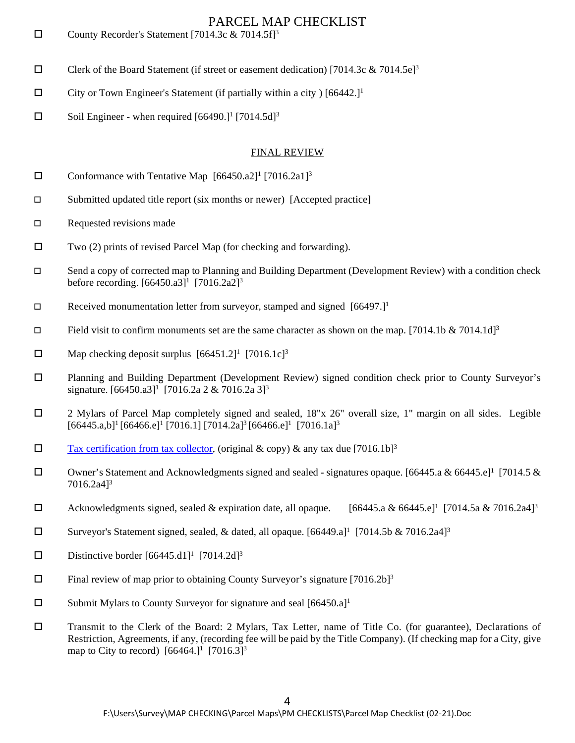- County Recorder's Statement [7014.3c  $& 7014.5f$ ]<sup>3</sup>
- $\Box$  Clerk of the Board Statement (if street or easement dedication) [7014.3c & 7014.5e]<sup>3</sup>
- $\square$  City or Town Engineer's Statement (if partially within a city ) [66442.]<sup>1</sup>
- $\Box$  Soil Engineer when required [66490.]<sup>1</sup> [7014.5d]<sup>3</sup>

#### FINAL REVIEW

- Conformance with Tentative Map  $[66450.a2]$ <sup>1</sup>  $[7016.2a1]$ <sup>3</sup>
- Submitted updated title report (six months or newer) [Accepted practice]
- $\square$  Requested revisions made
- $\square$  Two (2) prints of revised Parcel Map (for checking and forwarding).
- Send a copy of corrected map to Planning and Building Department (Development Review) with a condition check before recording.  $[66450.a3]$ <sup>1</sup>  $[7016.2a2]$ <sup>3</sup>
- Received monumentation letter from surveyor, stamped and signed  $[66497.]$ <sup>1</sup>
- Field visit to confirm monuments set are the same character as shown on the map. [7014.1b & 7014.1d]<sup>3</sup>
- $\Box$  Map checking deposit surplus  $[66451.2]$ <sup>1</sup>  $[7016.1c]$ <sup>3</sup>
- Planning and Building Department (Development Review) signed condition check prior to County Surveyor's signature.  $[66450.a3]$ <sup>1</sup> [7016.2a 2 & 7016.2a 3]<sup>3</sup>
- 2 Mylars of Parcel Map completely signed and sealed, 18"x 26" overall size, 1" margin on all sides. Legible  $[66445.a,b]^1 [66466.e]^1 [7016.1] [7014.2a]^3 [66466.e]^1 [7016.1a]^3$
- $\square$  [Tax certification from tax collector,](http://www.smcare.org/care/documents/SUBDIVISION%20ASSESSMENT%20DATA%20REQUEST.pdf) (original & copy) & any tax due [7016.1b]<sup>3</sup>
- Owner's Statement and Acknowledgments signed and sealed signatures opaque. [66445.a & 66445.e]<sup>1</sup> [7014.5 & 7016.2a4]3
- $\Box$  Acknowledgments signed, sealed & expiration date, all opaque. [66445.a & 66445.e] [7014.5a & 7016.2a4]<sup>3</sup>
- $\square$  Surveyor's Statement signed, sealed, & dated, all opaque. [66449.a]<sup>1</sup> [7014.5b & 7016.2a4]<sup>3</sup>
- Distinctive border  $[66445. d1]$ <sup>1</sup>  $[7014.2 d]$ <sup>3</sup>
- $\Box$  Final review of map prior to obtaining County Surveyor's signature [7016.2b]<sup>3</sup>
- $\square$  Submit Mylars to County Surveyor for signature and seal [66450.a]<sup>1</sup>
- Transmit to the Clerk of the Board: 2 Mylars, Tax Letter, name of Title Co. (for guarantee), Declarations of Restriction, Agreements, if any, (recording fee will be paid by the Title Company). (If checking map for a City, give map to City to record)  $[66464.]$ <sup>1</sup> [7016.3]<sup>3</sup>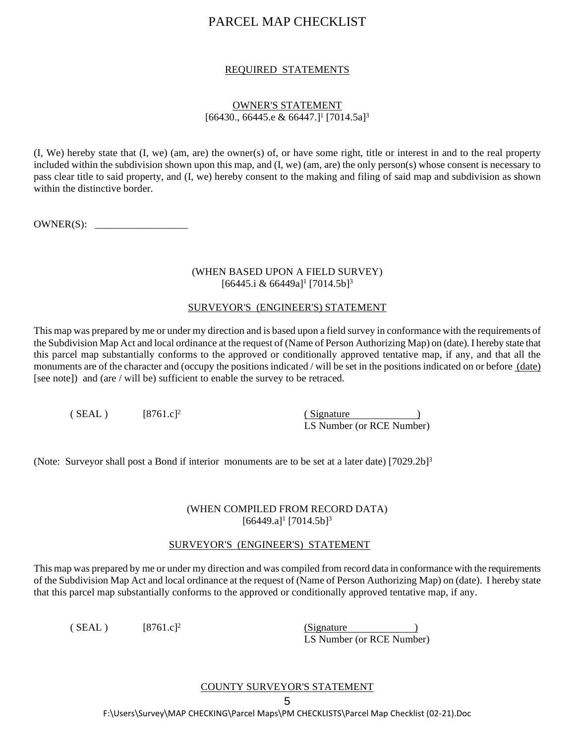#### REQUIRED STATEMENTS

#### OWNER'S STATEMENT  $[66430., 66445.e & 66447.]$ <sup>1</sup>  $[7014.5a]$ <sup>3</sup>

(I, We) hereby state that (I, we) (am, are) the owner(s) of, or have some right, title or interest in and to the real property included within the subdivision shown upon this map, and (I, we) (am, are) the only person(s) whose consent is necessary to pass clear title to said property, and (I, we) hereby consent to the making and filing of said map and subdivision as shown within the distinctive border.

OWNER(S): \_\_\_\_\_\_\_\_\_\_\_\_\_\_\_\_\_\_

#### (WHEN BASED UPON A FIELD SURVEY)  $[66445.i & 66449a]$ <sup>1</sup>  $[7014.5b]$ <sup>3</sup>

#### SURVEYOR'S (ENGINEER'S) STATEMENT

This map was prepared by me or under my direction and is based upon a field survey in conformance with the requirements of the Subdivision Map Act and local ordinance at the request of (Name of Person Authorizing Map) on (date). I hereby state that this parcel map substantially conforms to the approved or conditionally approved tentative map, if any, and that all the monuments are of the character and (occupy the positions indicated / will be set in the positions indicated on or before (date) [see note]) and (are / will be) sufficient to enable the survey to be retraced.

| (SEAL) | $[8761.c]^2$ | (Signature)               |
|--------|--------------|---------------------------|
|        |              | LS Number (or RCE Number) |

(Note: Surveyor shall post a Bond if interior monuments are to be set at a later date) [7029.2b]3

#### (WHEN COMPILED FROM RECORD DATA)  $[66449.a]$ <sup>1</sup>  $[7014.5b]$ <sup>3</sup>

#### SURVEYOR'S (ENGINEER'S) STATEMENT

This map was prepared by me or under my direction and was compiled from record data in conformance with the requirements of the Subdivision Map Act and local ordinance at the request of (Name of Person Authorizing Map) on (date). I hereby state that this parcel map substantially conforms to the approved or conditionally approved tentative map, if any.

 $(SEAL)$  [8761.c]<sup>2</sup> (Signature ) LS Number (or RCE Number)

#### COUNTY SURVEYOR'S STATEMENT

F:\Users\Survey\MAP CHECKING\Parcel Maps\PM CHECKLISTS\Parcel Map Checklist (02-21).Doc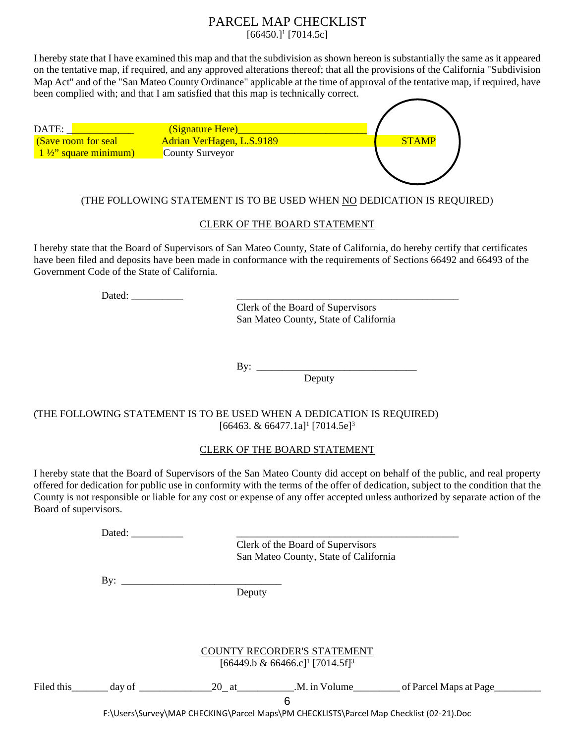$[66450.]$ <sup>1</sup> $[7014.5c]$ 

I hereby state that I have examined this map and that the subdivision as shown hereon is substantially the same as it appeared on the tentative map, if required, and any approved alterations thereof; that all the provisions of the California "Subdivision Map Act" and of the "San Mateo County Ordinance" applicable at the time of approval of the tentative map, if required, have been complied with; and that I am satisfied that this map is technically correct.

| DATE:                          | (Signature Here)          |              |
|--------------------------------|---------------------------|--------------|
| (Save room for seal            | Adrian VerHagen, L.S.9189 | <b>STAMP</b> |
| $1\frac{1}{2}$ square minimum) | County Surveyor           |              |
|                                |                           |              |
|                                |                           |              |

### (THE FOLLOWING STATEMENT IS TO BE USED WHEN NO DEDICATION IS REQUIRED)

#### CLERK OF THE BOARD STATEMENT

I hereby state that the Board of Supervisors of San Mateo County, State of California, do hereby certify that certificates have been filed and deposits have been made in conformance with the requirements of Sections 66492 and 66493 of the Government Code of the State of California.

Dated: \_\_\_\_\_\_\_\_\_\_ \_\_\_\_\_\_\_\_\_\_\_\_\_\_\_\_\_\_\_\_\_\_\_\_\_\_\_\_\_\_\_\_\_\_\_\_\_\_\_\_\_\_\_

Clerk of the Board of Supervisors San Mateo County, State of California

By: \_\_\_\_\_\_\_\_\_\_\_\_\_\_\_\_\_\_\_\_\_\_\_\_\_\_\_\_\_\_\_

Deputy

#### (THE FOLLOWING STATEMENT IS TO BE USED WHEN A DEDICATION IS REQUIRED)  $[66463. \& 66477.1a]$ <sup>1</sup> $[7014.5e]$ <sup>3</sup>

#### CLERK OF THE BOARD STATEMENT

I hereby state that the Board of Supervisors of the San Mateo County did accept on behalf of the public, and real property offered for dedication for public use in conformity with the terms of the offer of dedication, subject to the condition that the County is not responsible or liable for any cost or expense of any offer accepted unless authorized by separate action of the Board of supervisors.

| Dated:     |        |                                                                                         |                                                                                                                                                     |  |
|------------|--------|-----------------------------------------------------------------------------------------|-----------------------------------------------------------------------------------------------------------------------------------------------------|--|
|            |        | Clerk of the Board of Supervisors                                                       |                                                                                                                                                     |  |
|            |        | San Mateo County, State of California                                                   |                                                                                                                                                     |  |
| By: $\_\_$ |        |                                                                                         |                                                                                                                                                     |  |
|            | Deputy |                                                                                         |                                                                                                                                                     |  |
|            |        |                                                                                         |                                                                                                                                                     |  |
|            |        |                                                                                         |                                                                                                                                                     |  |
|            |        | COUNTY RECORDER'S STATEMENT                                                             |                                                                                                                                                     |  |
|            |        | [66449.b & 66466.c] <sup>1</sup> [7014.5f] <sup>3</sup>                                 |                                                                                                                                                     |  |
|            |        |                                                                                         |                                                                                                                                                     |  |
|            |        |                                                                                         | Filed this $\qquad \qquad \text{day of} \qquad \qquad 20 \text{ at} \qquad \qquad \text{M. in Volume} \qquad \text{of } \text{Parcel Maps at Page}$ |  |
|            |        | 6                                                                                       |                                                                                                                                                     |  |
|            |        | F:\Users\Survey\MAP CHECKING\Parcel Maps\PM CHECKLISTS\Parcel Map Checklist (02-21).Doc |                                                                                                                                                     |  |